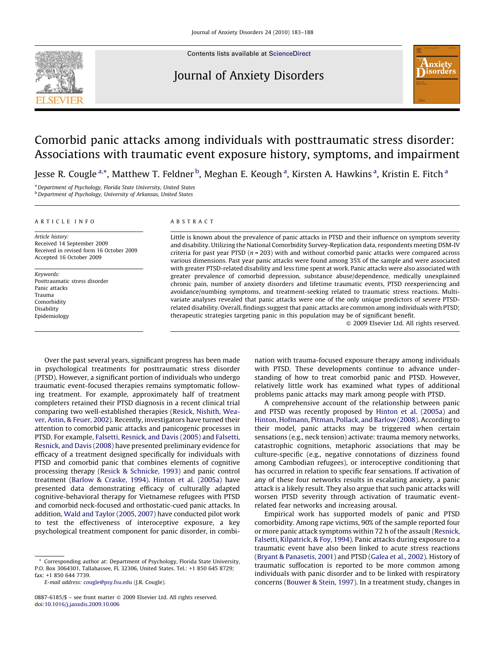

Contents lists available at [ScienceDirect](http://www.sciencedirect.com/science/journal/08876185)

## Journal of Anxiety Disorders



## Comorbid panic attacks among individuals with posttraumatic stress disorder: Associations with traumatic event exposure history, symptoms, and impairment

Jesse R. Cougle <sup>a,</sup>\*, Matthew T. Feldner <sup>b</sup>, Meghan E. Keough <sup>a</sup>, Kirsten A. Hawkins <sup>a</sup>, Kristin E. Fitch <sup>a</sup>

<sup>a</sup> Department of Psychology, Florida State University, United States

**b** Department of Psychology, University of Arkansas, United States

#### ARTICLE INFO

Article history: Received 14 September 2009 Received in revised form 16 October 2009 Accepted 16 October 2009

Keywords: Posttraumatic stress disorder Panic attacks Trauma Comorbidity Disability Epidemiology

#### ABSTRACT

Little is known about the prevalence of panic attacks in PTSD and their influence on symptom severity and disability. Utilizing the National Comorbidity Survey-Replication data, respondents meeting DSM-IV criteria for past year PTSD ( $n = 203$ ) with and without comorbid panic attacks were compared across various dimensions. Past year panic attacks were found among 35% of the sample and were associated with greater PTSD-related disability and less time spent at work. Panic attacks were also associated with greater prevalence of comorbid depression, substance abuse/dependence, medically unexplained chronic pain, number of anxiety disorders and lifetime traumatic events, PTSD reexperiencing and avoidance/numbing symptoms, and treatment-seeking related to traumatic stress reactions. Multivariate analyses revealed that panic attacks were one of the only unique predictors of severe PTSDrelated disability. Overall, findings suggest that panic attacks are common among individuals with PTSD; therapeutic strategies targeting panic in this population may be of significant benefit.

- 2009 Elsevier Ltd. All rights reserved.

Over the past several years, significant progress has been made in psychological treatments for posttraumatic stress disorder (PTSD). However, a significant portion of individuals who undergo traumatic event-focused therapies remains symptomatic following treatment. For example, approximately half of treatment completers retained their PTSD diagnosis in a recent clinical trial comparing two well-established therapies [\(Resick, Nishith, Wea](#page--1-0)[ver, Astin, & Feuer, 2002](#page--1-0)). Recently, investigators have turned their attention to comorbid panic attacks and panicogenic processes in PTSD. For example, [Falsetti, Resnick, and Davis \(2005\)](#page--1-0) and [Falsetti,](#page--1-0) [Resnick, and Davis \(2008\)](#page--1-0) have presented preliminary evidence for efficacy of a treatment designed specifically for individuals with PTSD and comorbid panic that combines elements of cognitive processing therapy ([Resick & Schnicke, 1993\)](#page--1-0) and panic control treatment ([Barlow & Craske, 1994\)](#page--1-0). [Hinton et al. \(2005a\)](#page--1-0) have presented data demonstrating efficacy of culturally adapted cognitive-behavioral therapy for Vietnamese refugees with PTSD and comorbid neck-focused and orthostatic-cued panic attacks. In addition, [Wald and Taylor \(2005, 2007\)](#page--1-0) have conducted pilot work to test the effectiveness of interoceptive exposure, a key psychological treatment component for panic disorder, in combination with trauma-focused exposure therapy among individuals with PTSD. These developments continue to advance understanding of how to treat comorbid panic and PTSD. However, relatively little work has examined what types of additional problems panic attacks may mark among people with PTSD.

A comprehensive account of the relationship between panic and PTSD was recently proposed by [Hinton et al. \(2005a\)](#page--1-0) and [Hinton, Hofmann, Pitman, Pollack, and Barlow \(2008\)](#page--1-0). According to their model, panic attacks may be triggered when certain sensations (e.g., neck tension) activate: trauma memory networks, catastrophic cognitions, metaphoric associations that may be culture-specific (e.g., negative connotations of dizziness found among Cambodian refugees), or interoceptive conditioning that has occurred in relation to specific fear sensations. If activation of any of these four networks results in escalating anxiety, a panic attack is a likely result. They also argue that such panic attacks will worsen PTSD severity through activation of traumatic eventrelated fear networks and increasing arousal.

Empirical work has supported models of panic and PTSD comorbidity. Among rape victims, 90% of the sample reported four or more panic attack symptoms within 72 h of the assault ([Resnick,](#page--1-0) [Falsetti, Kilpatrick, & Foy, 1994\)](#page--1-0). Panic attacks during exposure to a traumatic event have also been linked to acute stress reactions ([Bryant & Panasetis, 2001](#page--1-0)) and PTSD ([Galea et al., 2002](#page--1-0)). History of traumatic suffocation is reported to be more common among individuals with panic disorder and to be linked with respiratory concerns ([Bouwer & Stein, 1997\)](#page--1-0). In a treatment study, changes in

Corresponding author at: Department of Psychology, Florida State University, P.O. Box 3064301, Tallahassee, FL 32306, United States. Tel.: +1 850 645 8729; fax: +1 850 644 7739.

E-mail address: [cougle@psy.fsu.edu](mailto:cougle@psy.fsu.edu) (J.R. Cougle).

<sup>0887-6185/\$ –</sup> see front matter © 2009 Elsevier Ltd. All rights reserved. doi:[10.1016/j.janxdis.2009.10.006](http://dx.doi.org/10.1016/j.janxdis.2009.10.006)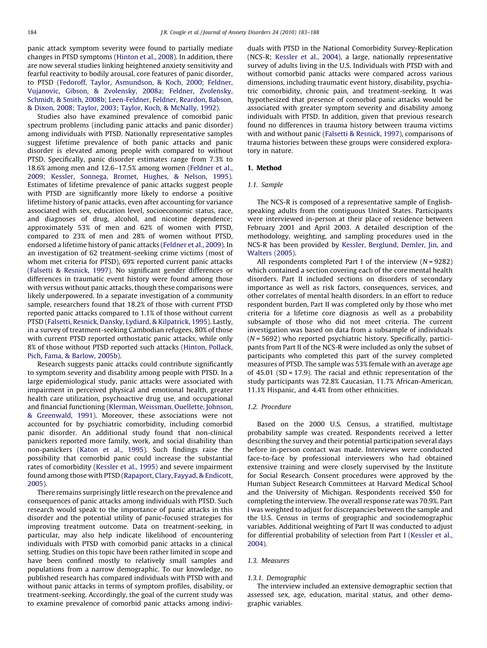panic attack symptom severity were found to partially mediate changes in PTSD symptoms ([Hinton et al., 2008](#page--1-0)). In addition, there are now several studies linking heightened anxiety sensitivity and fearful reactivity to bodily arousal, core features of panic disorder, to PTSD ([Fedoroff, Taylor, Asmundson, & Koch, 2000; Feldner,](#page--1-0) [Vujanovic, Gibson, & Zvolensky, 2008a; Feldner, Zvolensky,](#page--1-0) [Schmidt, & Smith, 2008b; Leen-Feldner, Feldner, Reardon, Babson,](#page--1-0) [& Dixon, 2008; Taylor, 2003; Taylor, Koch, & McNally, 1992\)](#page--1-0).

Studies also have examined prevalence of comorbid panic spectrum problems (including panic attacks and panic disorder) among individuals with PTSD. Nationally representative samples suggest lifetime prevalence of both panic attacks and panic disorder is elevated among people with compared to without PTSD. Specifically, panic disorder estimates range from 7.3% to 18.6% among men and 12.6–17.5% among women ([Feldner et al.,](#page--1-0) [2009; Kessler, Sonnega, Bromet, Hughes, & Nelson, 1995\)](#page--1-0). Estimates of lifetime prevalence of panic attacks suggest people with PTSD are significantly more likely to endorse a positive lifetime history of panic attacks, even after accounting for variance associated with sex, education level, socioeconomic status, race, and diagnoses of drug, alcohol, and nicotine dependence; approximately 53% of men and 62% of women with PTSD, compared to 23% of men and 28% of women without PTSD, endorsed a lifetime history of panic attacks ([Feldner et al., 2009\)](#page--1-0). In an investigation of 62 treatment-seeking crime victims (most of whom met criteria for PTSD), 69% reported current panic attacks ([Falsetti & Resnick, 1997\)](#page--1-0). No significant gender differences or differences in traumatic event history were found among those with versus without panic attacks, though these comparisons were likely underpowered. In a separate investigation of a community sample, researchers found that 18.2% of those with current PTSD reported panic attacks compared to 1.1% of those without current PTSD [\(Falsetti, Resnick, Dansky, Lydiard, & Kilpatrick, 1995\)](#page--1-0). Lastly, in a survey of treatment-seeking Cambodian refugees, 80% of those with current PTSD reported orthostatic panic attacks, while only 8% of those without PTSD reported such attacks ([Hinton, Pollack,](#page--1-0) [Pich, Fama, & Barlow, 2005b\)](#page--1-0).

Research suggests panic attacks could contribute significantly to symptom severity and disability among people with PTSD. In a large epidemiological study, panic attacks were associated with impairment in perceived physical and emotional health, greater health care utilization, psychoactive drug use, and occupational and financial functioning [\(Klerman, Weissman, Ouellette, Johnson,](#page--1-0) [& Greenwald, 1991\)](#page--1-0). Moreover, these associations were not accounted for by psychiatric comorbidity, including comorbid panic disorder. An additional study found that non-clinical panickers reported more family, work, and social disability than non-panickers ([Katon et al., 1995\)](#page--1-0). Such findings raise the possibility that comorbid panic could increase the substantial rates of comorbidity ([Kessler et al., 1995\)](#page--1-0) and severe impairment found among those with PTSD ([Rapaport, Clary, Fayyad, & Endicott,](#page--1-0) [2005\)](#page--1-0).

There remains surprisingly little research on the prevalence and consequences of panic attacks among individuals with PTSD. Such research would speak to the importance of panic attacks in this disorder and the potential utility of panic-focused strategies for improving treatment outcome. Data on treatment-seeking, in particular, may also help indicate likelihood of encountering individuals with PTSD with comorbid panic attacks in a clinical setting. Studies on this topic have been rather limited in scope and have been confined mostly to relatively small samples and populations from a narrow demographic. To our knowledge, no published research has compared individuals with PTSD with and without panic attacks in terms of symptom profiles, disability, or treatment-seeking. Accordingly, the goal of the current study was to examine prevalence of comorbid panic attacks among individuals with PTSD in the National Comorbidity Survey-Replication (NCS-R; [Kessler et al., 2004\)](#page--1-0), a large, nationally representative survey of adults living in the U.S. Individuals with PTSD with and without comorbid panic attacks were compared across various dimensions, including traumatic event history, disability, psychiatric comorbidity, chronic pain, and treatment-seeking. It was hypothesized that presence of comorbid panic attacks would be associated with greater symptom severity and disability among individuals with PTSD. In addition, given that previous research found no differences in trauma history between trauma victims with and without panic ([Falsetti & Resnick, 1997](#page--1-0)), comparisons of trauma histories between these groups were considered exploratory in nature.

#### 1. Method

#### 1.1. Sample

The NCS-R is composed of a representative sample of Englishspeaking adults from the contiguous United States. Participants were interviewed in-person at their place of residence between February 2001 and April 2003. A detailed description of the methodology, weighting, and sampling procedures used in the NCS-R has been provided by [Kessler, Berglund, Demler, Jin, and](#page--1-0) [Walters \(2005\).](#page--1-0)

All respondents completed Part I of the interview  $(N = 9282)$ which contained a section covering each of the core mental health disorders. Part II included sections on disorders of secondary importance as well as risk factors, consequences, services, and other correlates of mental health disorders. In an effort to reduce respondent burden, Part II was completed only by those who met criteria for a lifetime core diagnosis as well as a probability subsample of those who did not meet criteria. The current investigation was based on data from a subsample of individuals  $(N = 5692)$  who reported psychiatric history. Specifically, participants from Part II of the NCS-R were included as only the subset of participants who completed this part of the survey completed measures of PTSD. The sample was 53% female with an average age of 45.01 (SD = 17.9). The racial and ethnic representation of the study participants was 72.8% Caucasian, 11.7% African-American, 11.1% Hispanic, and 4.4% from other ethnicities.

### 1.2. Procedure

Based on the 2000 U.S. Census, a stratified, multistage probability sample was created. Respondents received a letter describing the survey and their potential participation several days before in-person contact was made. Interviews were conducted face-to-face by professional interviewers who had obtained extensive training and were closely supervised by the Institute for Social Research. Consent procedures were approved by the Human Subject Research Committees at Harvard Medical School and the University of Michigan. Respondents received \$50 for completing the interview. The overall response rate was 70.9%. Part I was weighted to adjust for discrepancies between the sample and the U.S. Census in terms of geographic and sociodemographic variables. Additional weighting of Part II was conducted to adjust for differential probability of selection from Part I ([Kessler et al.,](#page--1-0) [2004\)](#page--1-0).

#### 1.3. Measures

#### 1.3.1. Demographic

The interview included an extensive demographic section that assessed sex, age, education, marital status, and other demographic variables.